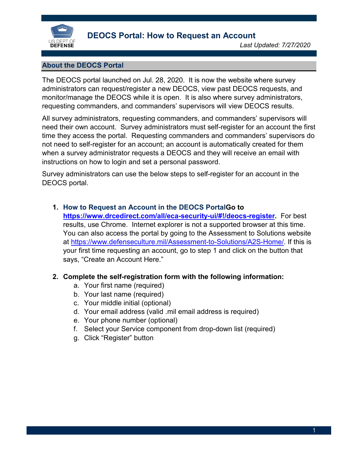

# **About the DEOCS Portal**

The DEOCS portal launched on Jul. 28, 2020. It is now the website where survey administrators can request/register a new DEOCS, view past DEOCS requests, and monitor/manage the DEOCS while it is open. It is also where survey administrators, requesting commanders, and commanders' supervisors will view DEOCS results.

All survey administrators, requesting commanders, and commanders' supervisors will need their own account. Survey administrators must self-register for an account the first time they access the portal. Requesting commanders and commanders' supervisors do not need to self-register for an account; an account is automatically created for them when a survey administrator requests a DEOCS and they will receive an email with instructions on how to login and set a personal password.

Survey administrators can use the below steps to self-register for an account in the DEOCS portal.

## **1. How to Request an Account in the DEOCS PortalGo to**

**[https://www.drcedirect.com/all/eca-security-ui/#!/deocs-register.](https://www.drcedirect.com/all/eca-security-ui/#!/deocs-register)** For best results, use Chrome. Internet explorer is not a supported browser at this time. You can also access the portal by going to the Assessment to Solutions website at [https://www.defenseculture.mil/Assessment-to-Solutions/A2S-Home/.](https://www.defenseculture.mil/Assessment-to-Solutions/A2S-Home/) If this is your first time requesting an account, go to step 1 and click on the button that says, "Create an Account Here."

## **2. Complete the self-registration form with the following information:**

- a. Your first name (required)
- b. Your last name (required)
- c. Your middle initial (optional)
- d. Your email address (valid .mil email address is required)
- e. Your phone number (optional)
- f. Select your Service component from drop-down list (required)
- g. Click "Register" button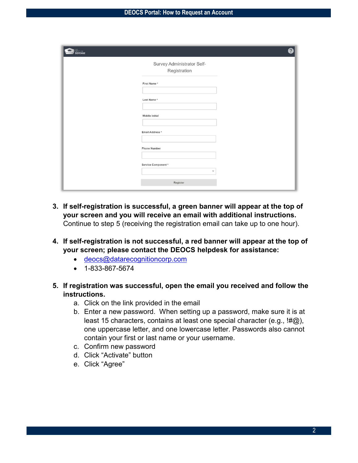| DEFENSE | 2                                          |
|---------|--------------------------------------------|
|         | Survey Administrator Self-<br>Registration |
|         | First Name*                                |
|         | Last Name*                                 |
|         | Middle Initial                             |
|         | Email Address *<br><b>Phone Number</b>     |
|         | Service Component*                         |
|         | $\checkmark$<br>Register                   |
|         |                                            |

- **3. If self-registration is successful, a green banner will appear at the top of your screen and you will receive an email with additional instructions.**  Continue to step 5 (receiving the registration email can take up to one hour).
- **4. If self-registration is not successful, a red banner will appear at the top of your screen; please contact the DEOCS helpdesk for assistance:**
	- [deocs@datarecognitioncorp.com](mailto:deocs@datarecognitioncorp.com)
	- 1-833-867-5674
- **5. If registration was successful, open the email you received and follow the instructions.**
	- a. Click on the link provided in the email
	- b. Enter a new password. When setting up a password, make sure it is at least 15 characters, contains at least one special character (e.g., !#@), one uppercase letter, and one lowercase letter. Passwords also cannot contain your first or last name or your username.
	- c. Confirm new password
	- d. Click "Activate" button
	- e. Click "Agree"